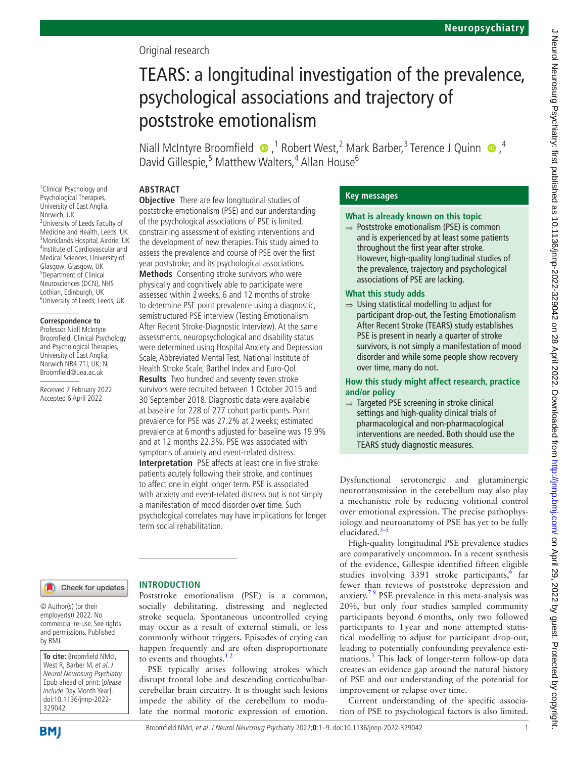# Original research

# TEARS: a longitudinal investigation of the prevalence, psychological associations and trajectory of poststroke emotionalism

Niall McIntyre Broomfield  $\bullet$ ,<sup>1</sup> Robert West,<sup>2</sup> Mark Barber,<sup>3</sup> Terence J Quinn  $\bullet$ ,<sup>4</sup> David Gillespie,<sup>5</sup> Matthew Walters,<sup>4</sup> Allan House<sup>6</sup>

#### **ABSTRACT Objective** There are few longitudinal studies of

<sup>1</sup> Clinical Psychology and Psychological Therapies, University of East Anglia, Norwich, UK <sup>2</sup>University of Leeds Faculty of Medicine and Health, Leeds, UK 3 Monklands Hospital, Airdrie, UK 4 Institute of Cardiovascular and Medical Sciences, University of Glasgow, Glasgow, UK 5 Department of Clinical Neurosciences (DCN), NHS Lothian, Edinburgh, UK 6 University of Leeds, Leeds, UK

#### **Correspondence to**

Professor Niall McIntyre Broomfield, Clinical Psychology and Psychological Therapies, University of East Anglia, Norwich NR4 7TJ, UK; N. Broomfield@uea.ac.uk

Received 7 February 2022 Accepted 6 April 2022

poststroke emotionalism (PSE) and our understanding of the psychological associations of PSE is limited, constraining assessment of existing interventions and the development of new therapies. This study aimed to assess the prevalence and course of PSE over the first year poststroke, and its psychological associations. **Methods** Consenting stroke survivors who were physically and cognitively able to participate were assessed within 2weeks, 6 and 12 months of stroke to determine PSE point prevalence using a diagnostic, semistructured PSE interview (Testing Emotionalism After Recent Stroke-Diagnostic Interview). At the same assessments, neuropsychological and disability status were determined using Hospital Anxiety and Depression Scale, Abbreviated Mental Test, National Institute of Health Stroke Scale, Barthel Index and Euro-Qol. **Results** Two hundred and seventy seven stroke survivors were recruited between 1 October 2015 and 30 September 2018. Diagnostic data were available at baseline for 228 of 277 cohort participants. Point prevalence for PSE was 27.2% at 2weeks; estimated prevalence at 6months adjusted for baseline was 19.9% and at 12 months 22.3%. PSE was associated with symptoms of anxiety and event-related distress. **Interpretation** PSE affects at least one in five stroke patients acutely following their stroke, and continues to affect one in eight longer term. PSE is associated with anxiety and event-related distress but is not simply a manifestation of mood disorder over time. Such psychological correlates may have implications for longer term social rehabilitation.

## Check for updates

**INTRODUCTION**

to events and thoughts. $12$ 

© Author(s) (or their employer(s)) 2022. No commercial re-use. See rights and permissions. Published by BMJ.

**To cite:** Broomfield NMcI, West R, Barber M, et al. J Neurol Neurosurg Psychiatry Epub ahead of print: [please include Day Month Year]. doi:10.1136/jnnp-2022- 329042

#### cerebellar brain circuitry. It is thought such lesions impede the ability of the cerebellum to modu-

PSE typically arises following strokes which disrupt frontal lobe and descending corticobulbar-

late the normal motoric expression of emotion.

Poststroke emotionalism (PSE) is a common, socially debilitating, distressing and neglected stroke sequela. Spontaneous uncontrolled crying may occur as a result of external stimuli, or less commonly without triggers. Episodes of crying can happen frequently and are often disproportionate

**Key messages**

## **What is already known on this topic**

⇒ Poststroke emotionalism (PSE) is common and is experienced by at least some patients throughout the first year after stroke. However, high-quality longitudinal studies of the prevalence, trajectory and psychological associations of PSE are lacking.

### **What this study adds**

 $\Rightarrow$  Using statistical modelling to adjust for participant drop-out, the Testing Emotionalism After Recent Stroke (TEARS) study establishes PSE is present in nearly a quarter of stroke survivors, is not simply a manifestation of mood disorder and while some people show recovery over time, many do not.

**How this study might affect research, practice and/or policy**

⇒ Targeted PSE screening in stroke clinical settings and high-quality clinical trials of pharmacological and non-pharmacological interventions are needed. Both should use the TEARS study diagnostic measures.

Dysfunctional serotonergic and glutaminergic neurotransmission in the cerebellum may also play a mechanistic role by reducing volitional control over emotional expression. The precise pathophysiology and neuroanatomy of PSE has yet to be fully elucidated.<sup>3-5</sup>

High-quality longitudinal PSE prevalence studies are comparatively uncommon. In a recent synthesis of the evidence, Gillespie identified fifteen eligible studies involving 3391 stroke participants,<sup>6</sup> far fewer than reviews of poststroke depression and anxiety.<sup>78</sup> PSE prevalence in this meta-analysis was 20%, but only four studies sampled community participants beyond 6months, only two followed participants to 1year and none attempted statistical modelling to adjust for participant drop-out, leading to potentially confounding prevalence estimations.[3](#page-7-1) This lack of longer-term follow-up data creates an evidence gap around the natural history of PSE and our understanding of the potential for improvement or relapse over time.

Current understanding of the specific association of PSE to psychological factors is also limited.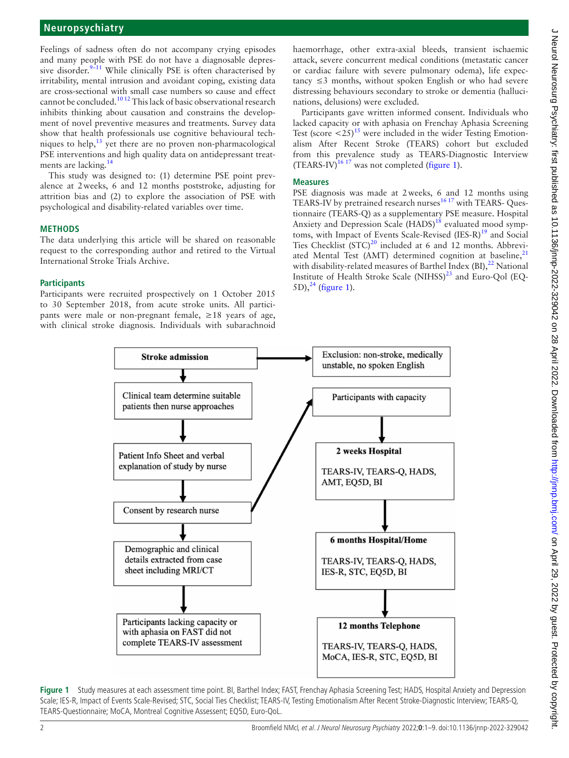Feelings of sadness often do not accompany crying episodes and many people with PSE do not have a diagnosable depressive disorder.<sup>9-11</sup> While clinically PSE is often characterised by irritability, mental intrusion and avoidant coping, existing data are cross-sectional with small case numbers so cause and effect cannot be concluded[.10 12](#page-7-5) This lack of basic observational research inhibits thinking about causation and constrains the development of novel preventive measures and treatments. Survey data show that health professionals use cognitive behavioural techniques to help, $^{13}$  $^{13}$  $^{13}$  yet there are no proven non-pharmacological PSE interventions and high quality data on antidepressant treat-ments are lacking.<sup>[14](#page-7-7)</sup>

This study was designed to: (1) determine PSE point prevalence at 2weeks, 6 and 12 months poststroke, adjusting for attrition bias and (2) to explore the association of PSE with psychological and disability-related variables over time.

## **METHODS**

The data underlying this article will be shared on reasonable request to the corresponding author and retired to the Virtual International Stroke Trials Archive.

## **Participants**

Participants were recruited prospectively on 1 October 2015 to 30 September 2018, from acute stroke units. All participants were male or non-pregnant female, ≥18 years of age, with clinical stroke diagnosis. Individuals with subarachnoid

haemorrhage, other extra-axial bleeds, transient ischaemic attack, severe concurrent medical conditions (metastatic cancer or cardiac failure with severe pulmonary odema), life expec $tancy \leq 3$  months, without spoken English or who had severe distressing behaviours secondary to stroke or dementia (hallucinations, delusions) were excluded.

Participants gave written informed consent. Individuals who lacked capacity or with aphasia on Frenchay Aphasia Screening Test (score  $\langle 25 \rangle$ <sup>[15](#page-7-8)</sup> were included in the wider Testing Emotionalism After Recent Stroke (TEARS) cohort but excluded from this prevalence study as TEARS-Diagnostic Interview  $(TEARS-IV)^{16}$ <sup>17</sup> was not completed ([figure](#page-1-0) 1).

## **Measures**

PSE diagnosis was made at 2weeks, 6 and 12 months using TEARS-IV by pretrained research nurses $1617$  with TEARS- Questionnaire (TEARS-Q) as a supplementary PSE measure. Hospital Anxiety and Depression Scale (HADS)<sup>[18](#page-7-10)</sup> evaluated mood symp-toms, with Impact of Events Scale-Revised (IES-R)<sup>[19](#page-7-11)</sup> and Social Ties Checklist  $(STC)^{20}$  included at 6 and 12 months. Abbreviated Mental Test (AMT) determined cognition at baseline, $21$ with disability-related measures of Barthel Index  $(BI)$ ,  $^{22}$  $^{22}$  $^{22}$  National Institute of Health Stroke Scale  $(NIHSS)^{23}$  and Euro-Qol (EQ-5D), $^{24}$  [\(figure](#page-1-0) 1).



<span id="page-1-0"></span>**Figure 1** Study measures at each assessment time point. BI, Barthel Index; FAST, Frenchay Aphasia Screening Test; HADS, Hospital Anxiety and Depression Scale; IES-R, Impact of Events Scale-Revised; STC, Social Ties Checklist; TEARS-IV, Testing Emotionalism After Recent Stroke-Diagnostic Interview; TEARS-Q, TEARS-Questionnaire; MoCA, Montreal Cognitive Assessent; EQ5D, Euro-QoL.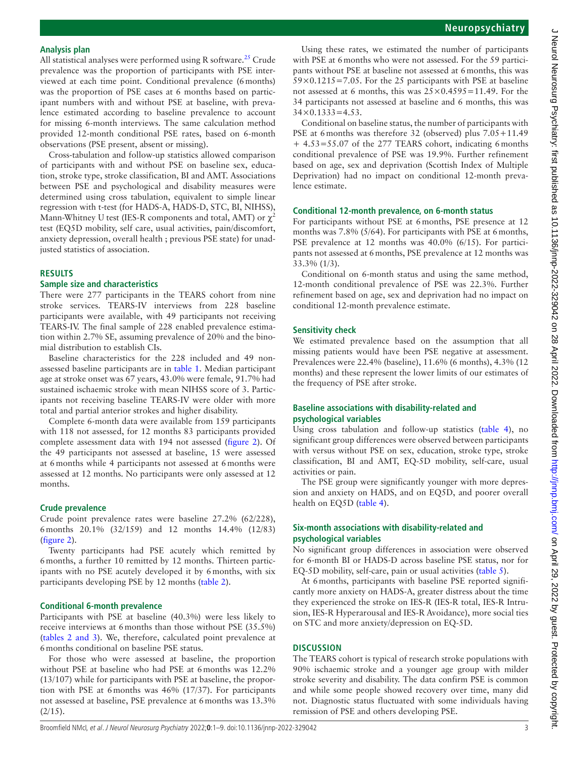#### **Analysis plan**

All statistical analyses were performed using R software.<sup>[25](#page-7-17)</sup> Crude prevalence was the proportion of participants with PSE interviewed at each time point. Conditional prevalence (6months) was the proportion of PSE cases at 6 months based on participant numbers with and without PSE at baseline, with prevalence estimated according to baseline prevalence to account for missing 6-month interviews. The same calculation method provided 12-month conditional PSE rates, based on 6-month observations (PSE present, absent or missing).

Cross-tabulation and follow-up statistics allowed comparison of participants with and without PSE on baseline sex, education, stroke type, stroke classification, BI and AMT. Associations between PSE and psychological and disability measures were determined using cross tabulation, equivalent to simple linear regression with t-test (for HADS-A, HADS-D, STC, BI, NIHSS), Mann-Whitney U test (IES-R components and total, AMT) or  $\chi^2$ test (EQ5D mobility, self care, usual activities, pain/discomfort, anxiety depression, overall health ; previous PSE state) for unadjusted statistics of association.

#### **RESULTS**

#### **Sample size and characteristics**

There were 277 participants in the TEARS cohort from nine stroke services. TEARS-IV interviews from 228 baseline participants were available, with 49 participants not receiving TEARS-IV. The final sample of 228 enabled prevalence estimation within 2.7% SE, assuming prevalence of 20% and the binomial distribution to establish CIs.

Baseline characteristics for the 228 included and 49 nonassessed baseline participants are in [table](#page-3-0) 1. Median participant age at stroke onset was 67 years, 43.0% were female, 91.7% had sustained ischaemic stroke with mean NIHSS score of 3. Participants not receiving baseline TEARS-IV were older with more total and partial anterior strokes and higher disability.

Complete 6-month data were available from 159 participants with 118 not assessed, for 12 months 83 participants provided complete assessment data with 194 not assessed [\(figure](#page-4-0) 2). Of the 49 participants not assessed at baseline, 15 were assessed at 6months while 4 participants not assessed at 6months were assessed at 12 months. No participants were only assessed at 12 months.

#### **Crude prevalence**

Crude point prevalence rates were baseline 27.2% (62/228), 6months 20.1% (32/159) and 12 months 14.4% (12/83) ([figure](#page-4-0) 2).

Twenty participants had PSE acutely which remitted by 6months, a further 10 remitted by 12 months. Thirteen participants with no PSE acutely developed it by 6months, with six participants developing PSE by 12 months [\(table](#page-4-1) 2).

#### **Conditional 6-month prevalence**

Participants with PSE at baseline (40.3%) were less likely to receive interviews at 6months than those without PSE (35.5%) (tables [2 and 3\)](#page-4-1). We, therefore, calculated point prevalence at 6months conditional on baseline PSE status.

For those who were assessed at baseline, the proportion without PSE at baseline who had PSE at 6months was 12.2% (13/107) while for participants with PSE at baseline, the proportion with PSE at 6months was 46% (17/37). For participants not assessed at baseline, PSE prevalence at 6months was 13.3%  $(2/15)$ .

Using these rates, we estimated the number of participants with PSE at 6 months who were not assessed. For the 59 participants without PSE at baseline not assessed at 6months, this was  $59\times0.1215=7.05$ . For the 25 participants with PSE at baseline not assessed at 6 months, this was  $25 \times 0.4595 = 11.49$ . For the 34 participants not assessed at baseline and 6 months, this was  $34 \times 0.1333 = 4.53$ .

Conditional on baseline status, the number of participants with PSE at 6months was therefore 32 (observed) plus 7.05+11.49 + 4.53=55.07 of the 277 TEARS cohort, indicating 6months conditional prevalence of PSE was 19.9%. Further refinement based on age, sex and deprivation (Scottish Index of Multiple Deprivation) had no impact on conditional 12-month prevalence estimate.

#### **Conditional 12-month prevalence, on 6-month status**

For participants without PSE at 6months, PSE presence at 12 months was 7.8% (5/64). For participants with PSE at 6 months, PSE prevalence at 12 months was 40.0% (6/15). For participants not assessed at 6months, PSE prevalence at 12 months was 33.3% (1/3).

Conditional on 6-month status and using the same method, 12-month conditional prevalence of PSE was 22.3%. Further refinement based on age, sex and deprivation had no impact on conditional 12-month prevalence estimate.

#### **Sensitivity check**

We estimated prevalence based on the assumption that all missing patients would have been PSE negative at assessment. Prevalences were 22.4% (baseline), 11.6% (6 months), 4.3% (12 months) and these represent the lower limits of our estimates of the frequency of PSE after stroke.

## **Baseline associations with disability-related and psychological variables**

Using cross tabulation and follow-up statistics [\(table](#page-5-0) 4), no significant group differences were observed between participants with versus without PSE on sex, education, stroke type, stroke classification, BI and AMT, EQ-5D mobility, self-care, usual activities or pain.

The PSE group were significantly younger with more depression and anxiety on HADS, and on EQ5D, and poorer overall health on EQ5D ([table](#page-5-0) 4).

### **Six-month associations with disability-related and psychological variables**

No significant group differences in association were observed for 6-month BI or HADS-D across baseline PSE status, nor for EQ-5D mobility, self-care, pain or usual activities [\(table](#page-6-0) 5).

At 6months, participants with baseline PSE reported significantly more anxiety on HADS-A, greater distress about the time they experienced the stroke on IES-R (IES-R total, IES-R Intrusion, IES-R Hyperarousal and IES-R Avoidance), more social ties on STC and more anxiety/depression on EQ-5D.

#### **DISCUSSION**

The TEARS cohort is typical of research stroke populations with 90% ischaemic stroke and a younger age group with milder stroke severity and disability. The data confirm PSE is common and while some people showed recovery over time, many did not. Diagnostic status fluctuated with some individuals having remission of PSE and others developing PSE.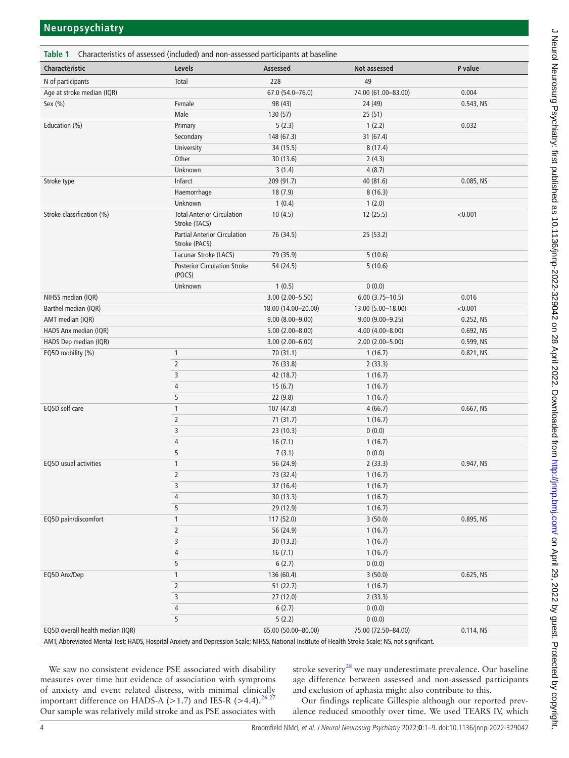<span id="page-3-0"></span>

| Table 1 Characteristics of assessed (included) and non-assessed participants at baseline                                                                                         |                                                      |                     |                     |              |  |  |
|----------------------------------------------------------------------------------------------------------------------------------------------------------------------------------|------------------------------------------------------|---------------------|---------------------|--------------|--|--|
| Characteristic                                                                                                                                                                   | Levels                                               | Assessed            | Not assessed        | P value      |  |  |
| N of participants                                                                                                                                                                | Total                                                | 228                 | 49                  |              |  |  |
| Age at stroke median (IQR)                                                                                                                                                       |                                                      | 67.0 (54.0-76.0)    | 74.00 (61.00-83.00) | 0.004        |  |  |
| Sex (%)                                                                                                                                                                          | Female                                               | 98 (43)             | 24 (49)             | 0.543, NS    |  |  |
|                                                                                                                                                                                  | Male                                                 | 130(57)             | 25(51)              |              |  |  |
| Education (%)                                                                                                                                                                    | Primary                                              | 5(2.3)              | 1(2.2)              | 0.032        |  |  |
|                                                                                                                                                                                  | Secondary                                            | 148 (67.3)          | 31(67.4)            |              |  |  |
|                                                                                                                                                                                  | University                                           | 34 (15.5)           | 8(17.4)             |              |  |  |
|                                                                                                                                                                                  | Other                                                | 30 (13.6)           | 2(4.3)              |              |  |  |
|                                                                                                                                                                                  | Unknown                                              | 3(1.4)              | 4(8.7)              |              |  |  |
| Stroke type                                                                                                                                                                      | Infarct                                              | 209 (91.7)          | 40 (81.6)           | 0.085, NS    |  |  |
|                                                                                                                                                                                  | Haemorrhage                                          | 18(7.9)             | 8(16.3)             |              |  |  |
|                                                                                                                                                                                  | Unknown                                              | 1(0.4)              | 1(2.0)              |              |  |  |
| Stroke classification (%)                                                                                                                                                        | <b>Total Anterior Circulation</b><br>Stroke (TACS)   | 10(4.5)             | 12(25.5)            | < 0.001      |  |  |
|                                                                                                                                                                                  | <b>Partial Anterior Circulation</b><br>Stroke (PACS) | 76 (34.5)           | 25 (53.2)           |              |  |  |
|                                                                                                                                                                                  | Lacunar Stroke (LACS)                                | 79 (35.9)           | 5(10.6)             |              |  |  |
|                                                                                                                                                                                  | <b>Posterior Circulation Stroke</b><br>(POCS)        | 54 (24.5)           | 5(10.6)             |              |  |  |
|                                                                                                                                                                                  | Unknown                                              | 1(0.5)              | 0(0.0)              |              |  |  |
| NIHSS median (IQR)                                                                                                                                                               |                                                      | 3.00 (2.00-5.50)    | $6.00(3.75 - 10.5)$ | 0.016        |  |  |
| Barthel median (IQR)                                                                                                                                                             |                                                      | 18.00 (14.00-20.00) | 13.00 (5.00-18.00)  | < 0.001      |  |  |
| AMT median (IQR)                                                                                                                                                                 |                                                      | $9.00(8.00 - 9.00)$ | $9.00(9.00 - 9.25)$ | 0.252, NS    |  |  |
| HADS Anx median (IQR)                                                                                                                                                            |                                                      | $5.00(2.00 - 8.00)$ | $4.00(4.00 - 8.00)$ | 0.692, NS    |  |  |
| HADS Dep median (IQR)                                                                                                                                                            |                                                      | $3.00(2.00 - 6.00)$ | $2.00(2.00 - 5.00)$ | 0.599, NS    |  |  |
| EQ5D mobility (%)                                                                                                                                                                | $\mathbf{1}$                                         | 70 (31.1)           | 1(16.7)             | 0.821, NS    |  |  |
|                                                                                                                                                                                  | $\overline{2}$                                       | 76 (33.8)           | 2(33.3)             |              |  |  |
|                                                                                                                                                                                  | 3                                                    | 42 (18.7)           | 1(16.7)             |              |  |  |
|                                                                                                                                                                                  | $\overline{4}$                                       | 15(6.7)             | 1(16.7)             |              |  |  |
|                                                                                                                                                                                  | 5                                                    | 22 (9.8)            | 1(16.7)             |              |  |  |
| EQ5D self care                                                                                                                                                                   | $\mathbf{1}$                                         | 107 (47.8)          | 4(66.7)             | $0.667$ , NS |  |  |
|                                                                                                                                                                                  | $\overline{2}$                                       | 71 (31.7)           | 1(16.7)             |              |  |  |
|                                                                                                                                                                                  | 3                                                    | 23 (10.3)           | 0(0.0)              |              |  |  |
|                                                                                                                                                                                  | $\sqrt{4}$                                           | 16(7.1)             | 1(16.7)             |              |  |  |
|                                                                                                                                                                                  | 5                                                    | 7(3.1)              | 0(0.0)              |              |  |  |
| EQ5D usual activities                                                                                                                                                            | 1                                                    | 56 (24.9)           | 2(33.3)             | 0.947, NS    |  |  |
|                                                                                                                                                                                  | $\overline{2}$                                       | 73 (32.4)           | 1(16.7)             |              |  |  |
|                                                                                                                                                                                  | 3                                                    | 37 (16.4)           | 1(16.7)             |              |  |  |
|                                                                                                                                                                                  | 4                                                    | 30 (13.3)           | 1(16.7)             |              |  |  |
|                                                                                                                                                                                  | 5                                                    | 29 (12.9)           | 1(16.7)             |              |  |  |
| EQ5D pain/discomfort                                                                                                                                                             | 1                                                    | 117 (52.0)          | 3(50.0)             | 0.895, NS    |  |  |
|                                                                                                                                                                                  | $\overline{2}$                                       | 56 (24.9)           | 1(16.7)             |              |  |  |
|                                                                                                                                                                                  | $\mathsf 3$                                          | 30 (13.3)           | 1(16.7)             |              |  |  |
|                                                                                                                                                                                  | 4                                                    | 16(7.1)             | 1(16.7)             |              |  |  |
|                                                                                                                                                                                  | 5                                                    | 6(2.7)              | 0(0.0)              |              |  |  |
| EQ5D Anx/Dep                                                                                                                                                                     | 1                                                    | 136 (60.4)          | 3(50.0)             | 0.625, NS    |  |  |
|                                                                                                                                                                                  | 2                                                    | 51(22.7)            | 1(16.7)             |              |  |  |
|                                                                                                                                                                                  | 3                                                    | 27 (12.0)           | 2(33.3)             |              |  |  |
|                                                                                                                                                                                  | 4                                                    | 6(2.7)              | 0(0.0)              |              |  |  |
|                                                                                                                                                                                  | 5                                                    | 5(2.2)              | 0(0.0)              |              |  |  |
| EQ5D overall health median (IQR)<br>Abbroviated Montal Tost: HADS Haspital Apricians and Doprossion Scalo: NIHSS, National Instituto of Health Stroke Scalo: NS, not significant |                                                      | 65.00 (50.00-80.00) | 75.00 (72.50-84.00) | 0.114, NS    |  |  |

AMT, Abbreviated Mental Test; HADS, Hospital Anxiety and Depression Scale; NIHSS, National Institute of Health Stroke Scale; NS, not significant.

We saw no consistent evidence PSE associated with disability measures over time but evidence of association with symptoms of anxiety and event related distress, with minimal clinically important difference on HADS-A (>1.7) and IES-R (>4.4).<sup>26.27</sup> Our sample was relatively mild stroke and as PSE associates with

stroke severity<sup>28</sup> we may underestimate prevalence. Our baseline age difference between assessed and non-assessed participants and exclusion of aphasia might also contribute to this.

Our findings replicate Gillespie although our reported prevalence reduced smoothly over time. We used TEARS IV, which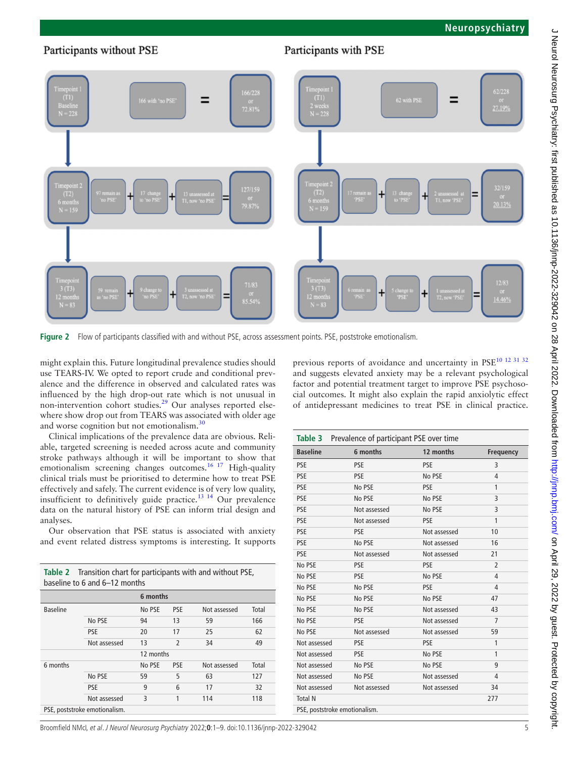## Participants without PSE

# Participants with PSE



<span id="page-4-0"></span>**Figure 2** Flow of participants classified with and without PSE, across assessment points. PSE, poststroke emotionalism.

might explain this. Future longitudinal prevalence studies should use TEARS-IV. We opted to report crude and conditional prevalence and the difference in observed and calculated rates was influenced by the high drop-out rate which is not unusual in non-intervention cohort studies. $2^9$  Our analyses reported elsewhere show drop out from TEARS was associated with older age and worse cognition but not emotionalism. $36$ 

Clinical implications of the prevalence data are obvious. Reliable, targeted screening is needed across acute and community stroke pathways although it will be important to show that emotionalism screening changes outcomes.<sup>16 17</sup> High-quality clinical trials must be prioritised to determine how to treat PSE effectively and safely. The current evidence is of very low quality, insufficient to definitively guide practice.<sup>13 14</sup> Our prevalence data on the natural history of PSE can inform trial design and analyses.

Our observation that PSE status is associated with anxiety and event related distress symptoms is interesting. It supports

<span id="page-4-1"></span>

| <b>Table 2</b> Transition chart for participants with and without PSE,<br>baseline to 6 and 6-12 months |              |           |                          |              |       |  |
|---------------------------------------------------------------------------------------------------------|--------------|-----------|--------------------------|--------------|-------|--|
|                                                                                                         |              | 6 months  |                          |              |       |  |
| <b>Baseline</b>                                                                                         |              | No PSE    | <b>PSE</b>               | Not assessed | Total |  |
|                                                                                                         | No PSE       | 94        | 13                       | 59           | 166   |  |
|                                                                                                         | <b>PSE</b>   | 20        | 17                       | 25           | 62    |  |
|                                                                                                         | Not assessed | 13        | $\overline{\phantom{a}}$ | 34           | 49    |  |
|                                                                                                         |              | 12 months |                          |              |       |  |
| 6 months                                                                                                |              | No PSE    | <b>PSE</b>               | Not assessed | Total |  |
|                                                                                                         | No PSE       | 59        | 5                        | 63           | 127   |  |
|                                                                                                         | <b>PSE</b>   | 9         | 6                        | 17           | 32    |  |
|                                                                                                         | Not assessed | 3         | 1                        | 114          | 118   |  |
| PSE, poststroke emotionalism.                                                                           |              |           |                          |              |       |  |

previous reports of avoidance and uncertainty in PSE<sup>10 12 31 32</sup> and suggests elevated anxiety may be a relevant psychological factor and potential treatment target to improve PSE psychosocial outcomes. It might also explain the rapid anxiolytic effect of antidepressant medicines to treat PSE in clinical practice.

| Table 3 Prevalence of participant PSE over time |              |              |                |  |
|-------------------------------------------------|--------------|--------------|----------------|--|
| <b>Baseline</b>                                 | 6 months     | 12 months    | Frequency      |  |
| <b>PSE</b>                                      | <b>PSE</b>   | <b>PSE</b>   | 3              |  |
| <b>PSE</b>                                      | <b>PSE</b>   | No PSE       | 4              |  |
| <b>PSE</b>                                      | No PSE       | <b>PSE</b>   | 1              |  |
| <b>PSE</b>                                      | No PSE       | No PSE       | 3              |  |
| <b>PSE</b>                                      | Not assessed | No PSE       | 3              |  |
| <b>PSE</b>                                      | Not assessed | <b>PSE</b>   | 1              |  |
| <b>PSE</b>                                      | <b>PSE</b>   | Not assessed | 10             |  |
| <b>PSE</b>                                      | No PSE       | Not assessed | 16             |  |
| <b>PSE</b>                                      | Not assessed | Not assessed | 21             |  |
| No PSE                                          | <b>PSE</b>   | <b>PSE</b>   | $\overline{2}$ |  |
| No PSE                                          | <b>PSE</b>   | No PSE       | 4              |  |
| No PSE                                          | No PSE       | <b>PSE</b>   | 4              |  |
| No PSE                                          | No PSE       | No PSE       | 47             |  |
| No PSE                                          | No PSE       | Not assessed | 43             |  |
| No PSE                                          | <b>PSE</b>   | Not assessed | $\overline{7}$ |  |
| No PSE                                          | Not assessed | Not assessed | 59             |  |
| Not assessed                                    | <b>PSE</b>   | <b>PSE</b>   | 1              |  |
| Not assessed                                    | <b>PSE</b>   | No PSE       | 1              |  |
| Not assessed                                    | No PSE       | No PSE       | 9              |  |
| Not assessed                                    | No PSE       | Not assessed | 4              |  |
| Not assessed                                    | Not assessed | Not assessed | 34             |  |
| <b>Total N</b>                                  |              |              | 277            |  |
| PSE, poststroke emotionalism.                   |              |              |                |  |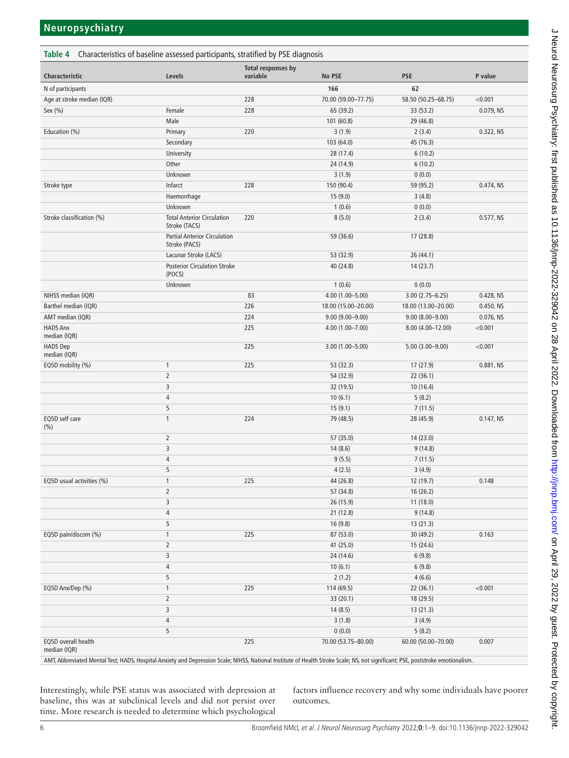<span id="page-5-0"></span>

| <b>Table 4</b> Characteristics of baseline assessed participants, stratified by PSE diagnosis |                                                      |                                       |                     |                     |           |  |
|-----------------------------------------------------------------------------------------------|------------------------------------------------------|---------------------------------------|---------------------|---------------------|-----------|--|
| Characteristic                                                                                | Levels                                               | <b>Total responses by</b><br>variable | No PSE              | <b>PSE</b>          | P value   |  |
| N of participants                                                                             |                                                      |                                       | 166                 | 62                  |           |  |
| Age at stroke median (IQR)                                                                    |                                                      | 228                                   | 70.00 (59.00-77.75) | 58.50 (50.25-68.75) | < 0.001   |  |
| Sex (%)                                                                                       | Female                                               | 228                                   | 65 (39.2)           | 33 (53.2)           | 0.079, NS |  |
|                                                                                               | Male                                                 |                                       | 101 (60.8)          | 29 (46.8)           |           |  |
| Education (%)                                                                                 | Primary                                              | 220                                   | 3(1.9)              | 2(3.4)              | 0.322, NS |  |
|                                                                                               | Secondary                                            |                                       | 103 (64.0)          | 45 (76.3)           |           |  |
|                                                                                               | University                                           |                                       | 28 (17.4)           | 6(10.2)             |           |  |
|                                                                                               | Other                                                |                                       | 24 (14.9)           | 6(10.2)             |           |  |
|                                                                                               | Unknown                                              |                                       | 3(1.9)              | 0(0.0)              |           |  |
| Stroke type                                                                                   | Infarct                                              | 228                                   | 150 (90.4)          | 59 (95.2)           | 0.474, NS |  |
|                                                                                               | Haemorrhage                                          |                                       | 15(9.0)             | 3(4.8)              |           |  |
|                                                                                               | Unknown                                              |                                       | 1(0.6)              | 0(0.0)              |           |  |
| Stroke classification (%)                                                                     | <b>Total Anterior Circulation</b><br>Stroke (TACS)   | 220                                   | 8(5.0)              | 2(3.4)              | 0.577, NS |  |
|                                                                                               | <b>Partial Anterior Circulation</b><br>Stroke (PACS) |                                       | 59 (36.6)           | 17 (28.8)           |           |  |
|                                                                                               | Lacunar Stroke (LACS)                                |                                       | 53 (32.9)           | 26 (44.1)           |           |  |
|                                                                                               | <b>Posterior Circulation Stroke</b><br>(POCS)        |                                       | 40 (24.8)           | 14(23.7)            |           |  |
|                                                                                               | Unknown                                              |                                       | 1(0.6)              | 0(0.0)              |           |  |
| NIHSS median (IQR)                                                                            |                                                      | 83                                    | 4.00 (1.00-5.00)    | $3.00(2.75 - 6.25)$ | 0.428, NS |  |
| Barthel median (IQR)                                                                          |                                                      | 226                                   | 18.00 (15.00-20.00) | 18.00 (13.00-20.00) | 0.450, NS |  |
| AMT median (IQR)                                                                              |                                                      | 224                                   | $9.00(9.00 - 9.00)$ | $9.00(8.00 - 9.00)$ | 0.076, NS |  |
| <b>HADS Anx</b><br>median (IQR)                                                               |                                                      | 225                                   | 4.00 (1.00-7.00)    | 8.00 (4.00-12.00)   | < 0.001   |  |
| <b>HADS Dep</b><br>median (IQR)                                                               |                                                      | 225                                   | $3.00(1.00 - 5.00)$ | $5.00(3.00 - 9.00)$ | < 0.001   |  |
| EQ5D mobility (%)                                                                             | $\mathbf{1}$                                         | 225                                   | 53 (32.3)           | 17 (27.9)           | 0.881, NS |  |
|                                                                                               | $\overline{2}$                                       |                                       | 54 (32.9)           | 22(36.1)            |           |  |
|                                                                                               | 3                                                    |                                       | 32 (19.5)           | 10(16.4)            |           |  |
|                                                                                               | 4                                                    |                                       | 10(6.1)             | 5(8.2)              |           |  |
|                                                                                               | 5                                                    |                                       | 15(9.1)             | 7(11.5)             |           |  |
| EQ5D self care<br>(% )                                                                        | $\mathbf{1}$                                         | 224                                   | 79 (48.5)           | 28 (45.9)           | 0.147, NS |  |
|                                                                                               | $\overline{2}$                                       |                                       | 57 (35.0)           | 14 (23.0)           |           |  |
|                                                                                               | 3                                                    |                                       | 14(8.6)             | 9(14.8)             |           |  |
|                                                                                               | 4                                                    |                                       | 9(5.5)              | 7(11.5)             |           |  |
|                                                                                               | 5                                                    |                                       | 4(2.5)              | 3(4.9)              |           |  |
| EQ5D usual activities (%)                                                                     | $\mathbf{1}$                                         | 225                                   | 44 (26.8)           | 12 (19.7)           | 0.148     |  |
|                                                                                               | $\overline{2}$                                       |                                       | 57 (34.8)           | 16(26.2)            |           |  |
|                                                                                               | 3                                                    |                                       | 26 (15.9)           | 11 (18.0)           |           |  |
|                                                                                               | 4                                                    |                                       | 21(12.8)            | 9(14.8)             |           |  |
|                                                                                               | 5                                                    |                                       | 16(9.8)             | 13 (21.3)           |           |  |
| EQ5D pain/discom (%)                                                                          | $\mathbf{1}$                                         | 225                                   | 87 (53.0)           | 30 (49.2)           | 0.163     |  |
|                                                                                               | $\overline{2}$                                       |                                       | 41 (25.0)           | 15 (24.6)           |           |  |
|                                                                                               | 3                                                    |                                       | 24 (14.6)           | 6(9.8)              |           |  |
|                                                                                               | 4                                                    |                                       | 10(6.1)             | 6(9.8)              |           |  |
|                                                                                               | 5                                                    |                                       | 2(1.2)              | 4(6.6)              |           |  |
| EQ5D Anx/Dep (%)                                                                              | $\mathbf{1}$                                         | 225                                   | 114 (69.5)          | 22 (36.1)           | < 0.001   |  |
|                                                                                               | $\overline{2}$                                       |                                       | 33 (20.1)           | 18 (29.5)           |           |  |
|                                                                                               | 3                                                    |                                       | 14(8.5)             | 13(21.3)            |           |  |
|                                                                                               | 4                                                    |                                       | 3(1.8)              | 3(4.9)              |           |  |
|                                                                                               | 5                                                    |                                       | 0(0.0)              | 5(8.2)              |           |  |
| EQ5D overall health<br>median (IQR)                                                           |                                                      | 225                                   | 70.00 (53.75-80.00) | 60.00 (50.00-70.00) | 0.007     |  |

AMT, Abbreviated Mental Test; HADS, Hospital Anxiety and Depression Scale; NIHSS, National Institute of Health Stroke Scale; NS, not significant; PSE, poststroke emotionalism.

Interestingly, while PSE status was associated with depression at baseline, this was at subclinical levels and did not persist over time. More research is needed to determine which psychological factors influence recovery and why some individuals have poorer outcomes.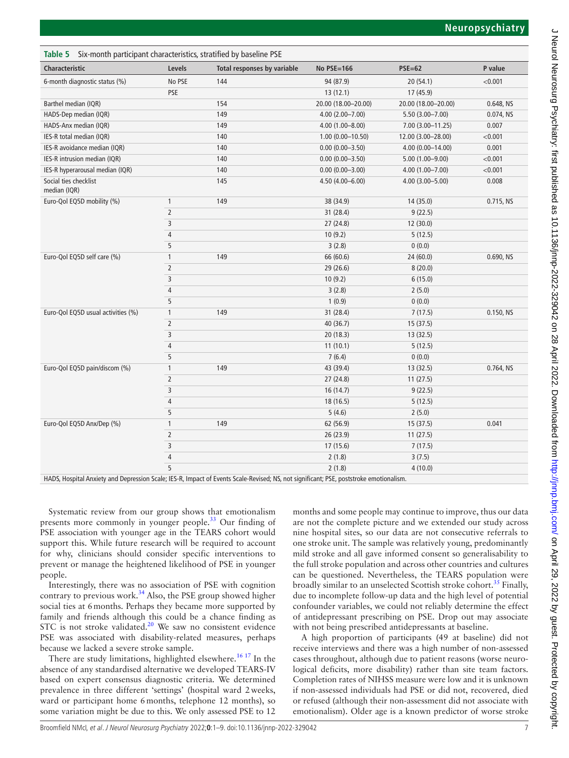<span id="page-6-0"></span>

| Table 5 Six-month participant characteristics, stratified by baseline PSE |                |                             |                      |                     |           |  |
|---------------------------------------------------------------------------|----------------|-----------------------------|----------------------|---------------------|-----------|--|
| Characteristic                                                            | Levels         | Total responses by variable | <b>No PSE=166</b>    | $PSE=62$            | P value   |  |
| 6-month diagnostic status (%)                                             | No PSE         | 144                         | 94 (87.9)            | 20(54.1)            | < 0.001   |  |
|                                                                           | PSE            |                             | 13(12.1)             | 17(45.9)            |           |  |
| Barthel median (IQR)                                                      |                | 154                         | 20.00 (18.00-20.00)  | 20.00 (18.00-20.00) | 0.648, NS |  |
| HADS-Dep median (IQR)                                                     |                | 149                         | $4.00(2.00 - 7.00)$  | 5.50 (3.00-7.00)    | 0.074, NS |  |
| HADS-Anx median (IQR)                                                     |                | 149                         | $4.00(1.00 - 8.00)$  | 7.00 (3.00-11.25)   | 0.007     |  |
| IES-R total median (IQR)                                                  |                | 140                         | $1.00(0.00 - 10.50)$ | 12.00 (3.00-28.00)  | < 0.001   |  |
| IES-R avoidance median (IQR)                                              |                | 140                         | $0.00(0.00 - 3.50)$  | 4.00 (0.00-14.00)   | 0.001     |  |
| IES-R intrusion median (IQR)                                              |                | 140                         | $0.00(0.00 - 3.50)$  | $5.00(1.00 - 9.00)$ | < 0.001   |  |
| IES-R hyperarousal median (IQR)                                           |                | 140                         | $0.00(0.00 - 3.00)$  | 4.00 (1.00-7.00)    | < 0.001   |  |
| Social ties checklist<br>median (IQR)                                     |                | 145                         | 4.50 (4.00-6.00)     | $4.00(3.00 - 5.00)$ | 0.008     |  |
| Euro-Qol EQ5D mobility (%)                                                | 1              | 149                         | 38 (34.9)            | 14 (35.0)           | 0.715, NS |  |
|                                                                           | $\overline{2}$ |                             | 31 (28.4)            | 9(22.5)             |           |  |
|                                                                           | 3              |                             | 27 (24.8)            | 12 (30.0)           |           |  |
|                                                                           | 4              |                             | 10(9.2)              | 5(12.5)             |           |  |
|                                                                           | 5              |                             | 3(2.8)               | 0(0.0)              |           |  |
| Euro-Qol EQ5D self care (%)                                               | 1              | 149                         | 66 (60.6)            | 24 (60.0)           | 0.690, NS |  |
|                                                                           | $\overline{2}$ |                             | 29 (26.6)            | 8(20.0)             |           |  |
|                                                                           | 3              |                             | 10(9.2)              | 6(15.0)             |           |  |
|                                                                           | $\overline{4}$ |                             | 3(2.8)               | 2(5.0)              |           |  |
|                                                                           | 5              |                             | 1(0.9)               | 0(0.0)              |           |  |
| Euro-Qol EQ5D usual activities (%)                                        | $\mathbf{1}$   | 149                         | 31 (28.4)            | 7(17.5)             | 0.150, NS |  |
|                                                                           | $\overline{2}$ |                             | 40 (36.7)            | 15 (37.5)           |           |  |
|                                                                           | 3              |                             | 20 (18.3)            | 13 (32.5)           |           |  |
|                                                                           | $\overline{4}$ |                             | 11(10.1)             | 5(12.5)             |           |  |
|                                                                           | 5              |                             | 7(6.4)               | 0(0.0)              |           |  |
| Euro-Qol EQ5D pain/discom (%)                                             | $\mathbf{1}$   | 149                         | 43 (39.4)            | 13(32.5)            | 0.764, NS |  |
|                                                                           | $\overline{2}$ |                             | 27 (24.8)            | 11(27.5)            |           |  |
|                                                                           | 3              |                             | 16(14.7)             | 9(22.5)             |           |  |
|                                                                           | 4              |                             | 18 (16.5)            | 5(12.5)             |           |  |
|                                                                           | 5              |                             | 5(4.6)               | 2(5.0)              |           |  |
| Euro-Qol EQ5D Anx/Dep (%)                                                 | 1              | 149                         | 62 (56.9)            | 15 (37.5)           | 0.041     |  |
|                                                                           | $\overline{2}$ |                             | 26 (23.9)            | 11(27.5)            |           |  |
|                                                                           | 3              |                             | 17(15.6)             | 7(17.5)             |           |  |
|                                                                           | $\sqrt{4}$     |                             | 2(1.8)               | 3(7.5)              |           |  |
|                                                                           | 5              |                             | 2(1.8)               | 4(10.0)             |           |  |

HADS, Hospital Anxiety and Depression Scale; IES-R, Impact of Events Scale-Revised; NS, not significant; PSE, poststroke emotionalism.

Systematic review from our group shows that emotionalism presents more commonly in younger people.[33](#page-7-22) Our finding of PSE association with younger age in the TEARS cohort would support this. While future research will be required to account for why, clinicians should consider specific interventions to prevent or manage the heightened likelihood of PSE in younger people.

Interestingly, there was no association of PSE with cognition contrary to previous work. $34$  Also, the PSE group showed higher social ties at 6months. Perhaps they became more supported by family and friends although this could be a chance finding as STC is not stroke validated.<sup>20</sup> We saw no consistent evidence PSE was associated with disability-related measures, perhaps because we lacked a severe stroke sample.

There are study limitations, highlighted elsewhere.<sup>16 17</sup> In the absence of any standardised alternative we developed TEARS-IV based on expert consensus diagnostic criteria. We determined prevalence in three different 'settings' (hospital ward 2weeks, ward or participant home 6months, telephone 12 months), so some variation might be due to this. We only assessed PSE to 12

months and some people may continue to improve, thus our data are not the complete picture and we extended our study across nine hospital sites, so our data are not consecutive referrals to one stroke unit. The sample was relatively young, predominantly mild stroke and all gave informed consent so generalisability to the full stroke population and across other countries and cultures can be questioned. Nevertheless, the TEARS population were broadly similar to an unselected Scottish stroke cohort.<sup>[35](#page-7-24)</sup> Finally, due to incomplete follow-up data and the high level of potential confounder variables, we could not reliably determine the effect of antidepressant prescribing on PSE. Drop out may associate with not being prescribed antidepressants at baseline.

A high proportion of participants (49 at baseline) did not receive interviews and there was a high number of non-assessed cases throughout, although due to patient reasons (worse neurological deficits, more disability) rather than site team factors. Completion rates of NIHSS measure were low and it is unknown if non-assessed individuals had PSE or did not, recovered, died or refused (although their non-assessment did not associate with emotionalism). Older age is a known predictor of worse stroke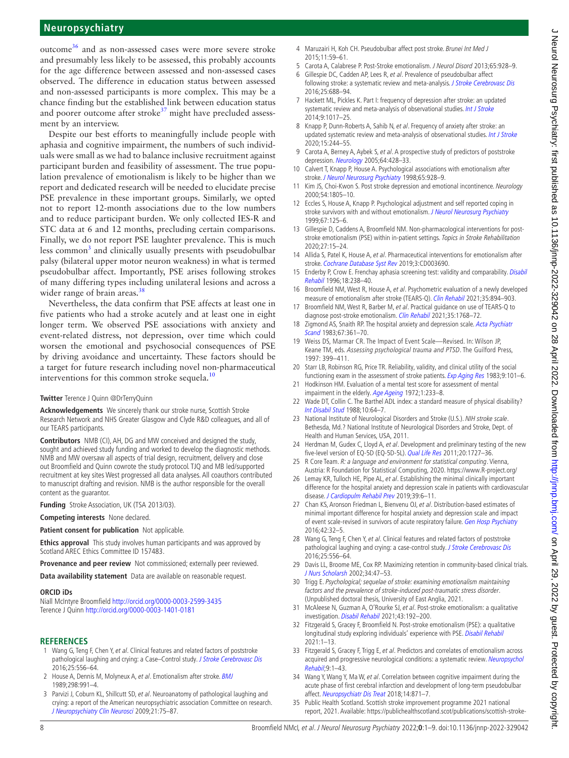# **Neuropsychiatry**

outcome[36](#page-8-0) and as non-assessed cases were more severe stroke and presumably less likely to be assessed, this probably accounts for the age difference between assessed and non-assessed cases observed. The difference in education status between assessed and non-assessed participants is more complex. This may be a chance finding but the established link between education status and poorer outcome after stroke $37$  might have precluded assessment by an interview.

Despite our best efforts to meaningfully include people with aphasia and cognitive impairment, the numbers of such individuals were small as we had to balance inclusive recruitment against participant burden and feasibility of assessment. The true population prevalence of emotionalism is likely to be higher than we report and dedicated research will be needed to elucidate precise PSE prevalence in these important groups. Similarly, we opted not to report 12-month associations due to the low numbers and to reduce participant burden. We only collected IES-R and STC data at 6 and 12 months, precluding certain comparisons. Finally, we do not report PSE laughter prevalence. This is much less common<sup>[3](#page-7-1)</sup> and clinically usually presents with pseudobulbar palsy (bilateral upper motor neuron weakness) in what is termed pseudobulbar affect. Importantly, PSE arises following strokes of many differing types including unilateral lesions and across a wider range of brain areas.<sup>38</sup>

Nevertheless, the data confirm that PSE affects at least one in five patients who had a stroke acutely and at least one in eight longer term. We observed PSE associations with anxiety and event-related distress, not depression, over time which could worsen the emotional and psychosocial consequences of PSE by driving avoidance and uncertainty. These factors should be a target for future research including novel non-pharmaceutical interventions for this common stroke sequela.<sup>[10](#page-7-5)</sup>

#### **Twitter** Terence J Quinn [@DrTerryQuinn](https://twitter.com/DrTerryQuinn)

**Acknowledgements** We sincerely thank our stroke nurse, Scottish Stroke Research Network and NHS Greater Glasgow and Clyde R&D colleagues, and all of our TEARS participants.

**Contributors** NMB (CI), AH, DG and MW conceived and designed the study, sought and achieved study funding and worked to develop the diagnostic methods. NMB and MW oversaw all aspects of trial design, recruitment, delivery and close out Broomfield and Quinn cowrote the study protocol. TJQ and MB led/supported recruitment at key sites West progressed all data analyses. All coauthors contributed to manuscript drafting and revision. NMB is the author responsible for the overall content as the guarantor.

**Funding** Stroke Association, UK (TSA 2013/03).

**Competing interests** None declared.

**Patient consent for publication** Not applicable.

**Ethics approval** This study involves human participants and was approved by Scotland AREC Ethics Committee ID 157483.

**Provenance and peer review** Not commissioned; externally peer reviewed.

**Data availability statement** Data are available on reasonable request.

#### **ORCID iDs**

Niall McIntyre Broomfield <http://orcid.org/0000-0003-2599-3435> Terence J Quinn <http://orcid.org/0000-0003-1401-0181>

#### **REFERENCES**

- <span id="page-7-0"></span>1 Wang G, Teng F, Chen Y, et al. Clinical features and related factors of poststroke pathological laughing and crying: a Case-Control study. [J Stroke Cerebrovasc Dis](http://dx.doi.org/10.1016/j.jstrokecerebrovasdis.2015.11.003) 2016;25:556–64.
- 2 House A, Dennis M, Molyneux A, et al. Emotionalism after stroke. [BMJ](http://dx.doi.org/10.1136/bmj.298.6679.991) 1989;298:991–4.
- <span id="page-7-1"></span>3 Parvizi J, Coburn KL, Shillcutt SD, et al. Neuroanatomy of pathological laughing and crying: a report of the American neuropsychiatric association Committee on research. [J Neuropsychiatry Clin Neurosci](http://dx.doi.org/10.1176/jnp.2009.21.1.75) 2009;21:75–87.
- 4 Maruzairi H, Koh CH. Pseudobulbar affect post stroke. Brunei Int Med J 2015;11:59–61.
- 5 Carota A, Calabrese P. Post-Stroke emotionalism. J Neurol Disord 2013;65:928–9.
- <span id="page-7-2"></span>6 Gillespie DC, Cadden AP, Lees R, et al. Prevalence of pseudobulbar affect following stroke: a systematic review and meta-analysis. [J Stroke Cerebrovasc Dis](http://dx.doi.org/10.1016/j.jstrokecerebrovasdis.2015.11.038) 2016;25:688–94.
- <span id="page-7-3"></span>7 Hackett ML, Pickles K. Part I: frequency of depression after stroke: an updated systematic review and meta-analysis of observational studies. [Int J Stroke](http://dx.doi.org/10.1111/ijs.12357) 2014;9:1017–25.
- 8 Knapp P, Dunn-Roberts A, Sahib N, et al. Frequency of anxiety after stroke: an updated systematic review and meta-analysis of observational studies. [Int J Stroke](http://dx.doi.org/10.1177/1747493019896958) 2020;15:244–55.
- <span id="page-7-4"></span>9 Carota A, Berney A, Aybek S, et al. A prospective study of predictors of poststroke depression. [Neurology](http://dx.doi.org/10.1212/01.WNL.0000150935.05940.2D) 2005;64:428-33.
- <span id="page-7-5"></span>10 Calvert T, Knapp P, House A. Psychological associations with emotionalism after stroke. [J Neurol Neurosurg Psychiatry](http://dx.doi.org/10.1136/jnnp.65.6.928) 1998;65:928-9.
- 11 Kim JS, Choi-Kwon S. Post stroke depression and emotional incontinence. Neurology 2000;54:1805–10.
- 12 Eccles S, House A, Knapp P. Psychological adjustment and self reported coping in stroke survivors with and without emotionalism. [J Neurol Neurosurg Psychiatry](http://dx.doi.org/10.1136/jnnp.67.1.125) 1999;67:125–6.
- <span id="page-7-6"></span>13 Gillespie D, Caddens A, Broomfield NM. Non-pharmacological interventions for poststroke emotionalism (PSE) within in-patient settings. Topics in Stroke Rehabilitation 2020;27:15–24.
- <span id="page-7-7"></span>14 Allida S, Patel K, House A, et al. Pharmaceutical interventions for emotionalism after stroke. [Cochrane Database Syst Rev](http://dx.doi.org/10.1002/14651858.CD003690.pub4) 2019;3:CD003690.
- <span id="page-7-8"></span>15 Enderby P, Crow E. Frenchay aphasia screening test: validity and comparability. Disabil [Rehabil](http://dx.doi.org/10.3109/09638289609166307) 1996;18:238–40.
- <span id="page-7-9"></span>16 Broomfield NM, West R, House A, et al. Psychometric evaluation of a newly developed measure of emotionalism after stroke (TEARS-Q). [Clin Rehabil](http://dx.doi.org/10.1177/0269215520981727) 2021;35:894-903.
- 17 Broomfield NM, West R, Barber M, et al. Practical guidance on use of TEARS-Q to diagnose post-stroke emotionalism. [Clin Rehabil](http://dx.doi.org/10.1177/02692155211024801) 2021;35:1768-72.
- <span id="page-7-10"></span>18 Zigmond AS, Snaith RP. The hospital anxiety and depression scale. Acta Psychiatr [Scand](http://dx.doi.org/10.1111/j.1600-0447.1983.tb09716.x) 1983;67:361–70.
- <span id="page-7-11"></span>19 Weiss DS, Marmar CR. The Impact of Event Scale—Revised. In: Wilson JP, Keane TM, eds. Assessing psychological trauma and PTSD. The Guilford Press, 1997: 399–411.
- <span id="page-7-12"></span>20 Starr LB, Robinson RG, Price TR. Reliability, validity, and clinical utility of the social functioning exam in the assessment of stroke patients. [Exp Aging Res](http://dx.doi.org/10.1080/03610738308258434) 1983;9:101-6.
- <span id="page-7-13"></span>21 Hodkinson HM. Evaluation of a mental test score for assessment of mental impairment in the elderly. [Age Ageing](http://dx.doi.org/10.1093/ageing/1.4.233) 1972;1:233-8.
- <span id="page-7-14"></span>22 Wade DT, Collin C. The Barthel ADL index: a standard measure of physical disability? [Int Disabil Stud](http://dx.doi.org/10.3109/09638288809164105) 1988;10:64–7.
- <span id="page-7-15"></span>23 National Institute of Neurological Disorders and Stroke (U.S.). NIH stroke scale. Bethesda, Md.? National Institute of Neurological Disorders and Stroke, Dept. of Health and Human Services, USA, 2011.
- <span id="page-7-16"></span>24 Herdman M, Gudex C, Lloyd A, et al. Development and preliminary testing of the new five-level version of EQ-5D (EQ-5D-5L). [Qual Life Res](http://dx.doi.org/10.1007/s11136-011-9903-x) 2011;20:1727–36.
- <span id="page-7-17"></span>25 R Core Team. R: a language and environment for statistical computing. Vienna, Austria: R Foundation for Statistical Computing, 2020.<https://www.R-project.org/>
- <span id="page-7-18"></span>26 Lemay KR, Tulloch HE, Pipe AL, et al. Establishing the minimal clinically important difference for the hospital anxiety and depression scale in patients with cardiovascular disease. [J Cardiopulm Rehabil Prev](http://dx.doi.org/10.1097/HCR.0000000000000379) 2019;39:6-11.
- 27 Chan KS, Aronson Friedman L, Bienvenu OJ, et al. Distribution-based estimates of minimal important difference for hospital anxiety and depression scale and impact of event scale-revised in survivors of acute respiratory failure. [Gen Hosp Psychiatry](http://dx.doi.org/10.1016/j.genhosppsych.2016.07.004) 2016;42:32–5.
- <span id="page-7-19"></span>28 Wang G, Teng F, Chen Y, et al. Clinical features and related factors of poststroke pathological laughing and crying: a case-control study. [J Stroke Cerebrovasc Dis](http://dx.doi.org/10.1016/j.jstrokecerebrovasdis.2015.11.003) 2016;25:556–64.
- <span id="page-7-20"></span>29 Davis LL, Broome ME, Cox RP. Maximizing retention in community-based clinical trials. [J Nurs Scholarsh](http://dx.doi.org/10.1111/j.1547-5069.2002.00047.x) 2002;34:47–53.
- <span id="page-7-21"></span>30 Trigg E. Psychological; sequelae of stroke: examining emotionalism maintaining factors and the prevalence of stroke-induced post-traumatic stress disorder. (Unpublished doctoral thesis, University of East Anglia, 2021.
- 31 McAleese N, Guzman A, O'Rourke SJ, et al. Post-stroke emotionalism: a qualitative investigation. [Disabil Rehabil](http://dx.doi.org/10.1080/09638288.2019.1620876) 2021;43:192–200.
- 32 Fitzgerald S, Gracey F, Broomfield N. Post-stroke emotionalism (PSE): a qualitative longitudinal study exploring individuals' experience with PSE. [Disabil Rehabil](http://dx.doi.org/10.1080/09638288.2021.2002439) 2021:1–13.
- <span id="page-7-22"></span>33 Fitzgerald S, Gracey F, Trigg E, et al. Predictors and correlates of emotionalism across acquired and progressive neurological conditions: a systematic review. Neuropsychol [Rehabil](http://dx.doi.org/10.1080/09602011.2022.2052326);9:1–43.
- <span id="page-7-23"></span>34 Wang Y, Wang Y, Ma W, et al. Correlation between cognitive impairment during the acute phase of first cerebral infarction and development of long-term pseudobulbar affect. [Neuropsychiatr Dis Treat](http://dx.doi.org/10.2147/NDT.S161792) 2018;14:871–7.
- <span id="page-7-24"></span>35 Public Health Scotland. Scottish stroke improvement programme 2021 national report, 2021. Available: [https://publichealthscotland.scot/publications/scottish-stroke-](https://publichealthscotland.scot/publications/scottish-stroke-improvement-programme/scottish-stroke-improvement-programme-2021-national-report/)